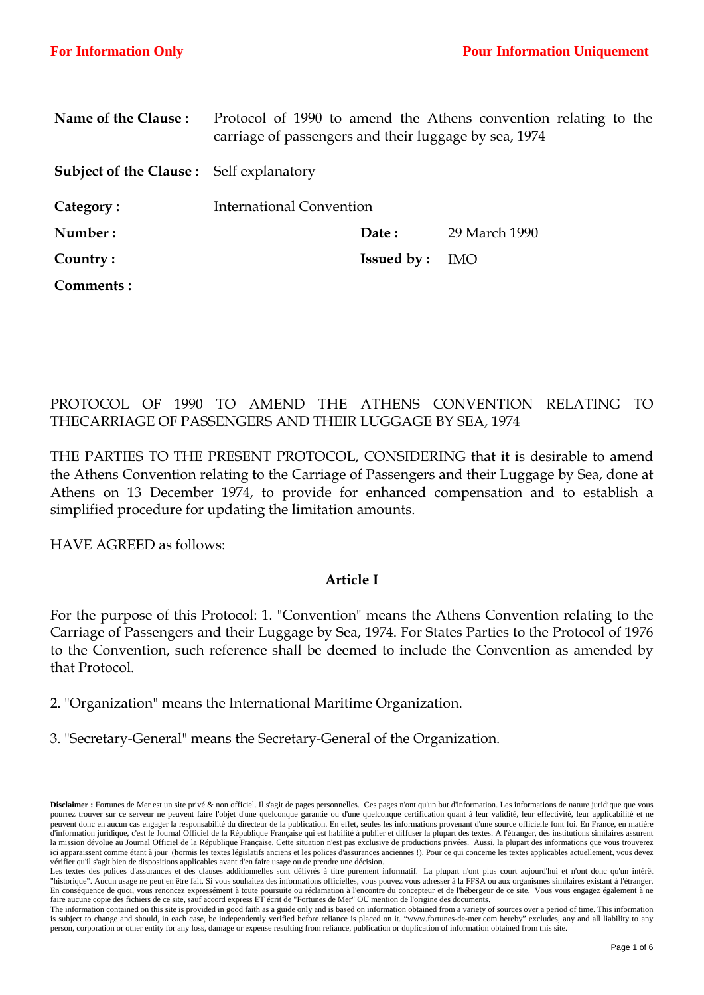| Name of the Clause:                            | Protocol of 1990 to amend the Athens convention relating to the<br>carriage of passengers and their luggage by sea, 1974 |                   |               |
|------------------------------------------------|--------------------------------------------------------------------------------------------------------------------------|-------------------|---------------|
| <b>Subject of the Clause:</b> Self explanatory |                                                                                                                          |                   |               |
| Category:                                      | <b>International Convention</b>                                                                                          |                   |               |
| Number:                                        |                                                                                                                          | Date:             | 29 March 1990 |
| Country:                                       |                                                                                                                          | <b>Issued by:</b> | <b>IMO</b>    |
| Comments:                                      |                                                                                                                          |                   |               |

PROTOCOL OF 1990 TO AMEND THE ATHENS CONVENTION RELATING TO THECARRIAGE OF PASSENGERS AND THEIR LUGGAGE BY SEA, 1974

THE PARTIES TO THE PRESENT PROTOCOL, CONSIDERING that it is desirable to amend the Athens Convention relating to the Carriage of Passengers and their Luggage by Sea, done at Athens on 13 December 1974, to provide for enhanced compensation and to establish a simplified procedure for updating the limitation amounts.

HAVE AGREED as follows:

#### **Article I**

For the purpose of this Protocol: 1. "Convention" means the Athens Convention relating to the Carriage of Passengers and their Luggage by Sea, 1974. For States Parties to the Protocol of 1976 to the Convention, such reference shall be deemed to include the Convention as amended by that Protocol.

2. "Organization" means the International Maritime Organization.

3. "Secretary-General" means the Secretary-General of the Organization.

**Disclaimer :** Fortunes de Mer est un site privé & non officiel. Il s'agit de pages personnelles. Ces pages n'ont qu'un but d'information. Les informations de nature juridique que vous pourrez trouver sur ce serveur ne peuvent faire l'objet d'une quelconque garantie ou d'une quelconque certification quant à leur validité, leur effectivité, leur applicabilité et ne peuvent donc en aucun cas engager la responsabilité du directeur de la publication. En effet, seules les informations provenant d'une source officielle font foi. En France, en matière d'information juridique, c'est le Journal Officiel de la République Française qui est habilité à publier et diffuser la plupart des textes. A l'étranger, des institutions similaires assurent la mission dévolue au Journal Officiel de la République Française. Cette situation n'est pas exclusive de productions privées. Aussi, la plupart des informations que vous trouverez ici apparaissent comme étant à jour (hormis les textes législatifs anciens et les polices d'assurances anciennes !). Pour ce qui concerne les textes applicables actuellement, vous devez vérifier qu'il s'agit bien de dispositions applicables avant d'en faire usage ou de prendre une décision.

Les textes des polices d'assurances et des clauses additionnelles sont délivrés à titre purement informatif. La plupart n'ont plus court aujourd'hui et n'ont donc qu'un intérêt "historique". Aucun usage ne peut en être fait. Si vous souhaitez des informations officielles, vous pouvez vous adresser à la FFSA ou aux organismes similaires existant à l'étranger. En conséquence de quoi, vous renoncez expressément à toute poursuite ou réclamation à l'encontre du concepteur et de l'hébergeur de ce site. Vous vous engagez également à ne faire aucune copie des fichiers de ce site, sauf accord express ET écrit de "Fortunes de Mer" OU mention de l'origine des documents.

The information contained on this site is provided in good faith as a guide only and is based on information obtained from a variety of sources over a period of time. This information is subject to change and should, in each case, be independently verified before reliance is placed on it. "www.fortunes-de-mer.com hereby" excludes, any and all liability to any person, corporation or other entity for any loss, damage or expense resulting from reliance, publication or duplication of information obtained from this site.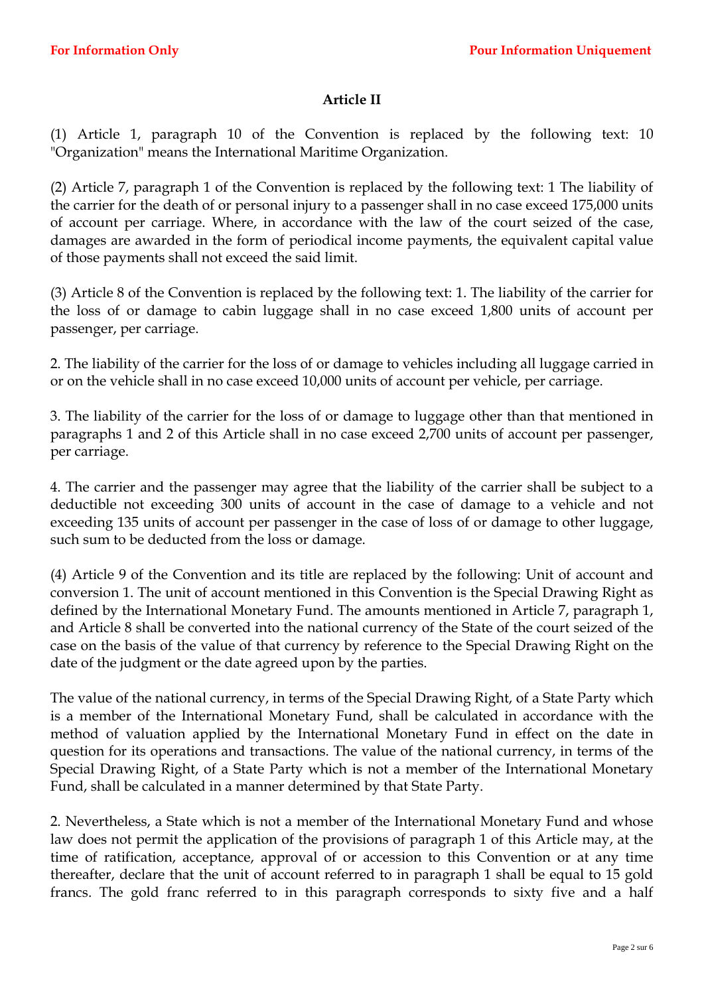## **Article II**

(1) Article 1, paragraph 10 of the Convention is replaced by the following text: 10 "Organization" means the International Maritime Organization.

(2) Article 7, paragraph 1 of the Convention is replaced by the following text: 1 The liability of the carrier for the death of or personal injury to a passenger shall in no case exceed 175,000 units of account per carriage. Where, in accordance with the law of the court seized of the case, damages are awarded in the form of periodical income payments, the equivalent capital value of those payments shall not exceed the said limit.

(3) Article 8 of the Convention is replaced by the following text: 1. The liability of the carrier for the loss of or damage to cabin luggage shall in no case exceed 1,800 units of account per passenger, per carriage.

2. The liability of the carrier for the loss of or damage to vehicles including all luggage carried in or on the vehicle shall in no case exceed 10,000 units of account per vehicle, per carriage.

3. The liability of the carrier for the loss of or damage to luggage other than that mentioned in paragraphs 1 and 2 of this Article shall in no case exceed 2,700 units of account per passenger, per carriage.

4. The carrier and the passenger may agree that the liability of the carrier shall be subject to a deductible not exceeding 300 units of account in the case of damage to a vehicle and not exceeding 135 units of account per passenger in the case of loss of or damage to other luggage, such sum to be deducted from the loss or damage.

(4) Article 9 of the Convention and its title are replaced by the following: Unit of account and conversion 1. The unit of account mentioned in this Convention is the Special Drawing Right as defined by the International Monetary Fund. The amounts mentioned in Article 7, paragraph 1, and Article 8 shall be converted into the national currency of the State of the court seized of the case on the basis of the value of that currency by reference to the Special Drawing Right on the date of the judgment or the date agreed upon by the parties.

The value of the national currency, in terms of the Special Drawing Right, of a State Party which is a member of the International Monetary Fund, shall be calculated in accordance with the method of valuation applied by the International Monetary Fund in effect on the date in question for its operations and transactions. The value of the national currency, in terms of the Special Drawing Right, of a State Party which is not a member of the International Monetary Fund, shall be calculated in a manner determined by that State Party.

2. Nevertheless, a State which is not a member of the International Monetary Fund and whose law does not permit the application of the provisions of paragraph 1 of this Article may, at the time of ratification, acceptance, approval of or accession to this Convention or at any time thereafter, declare that the unit of account referred to in paragraph 1 shall be equal to 15 gold francs. The gold franc referred to in this paragraph corresponds to sixty five and a half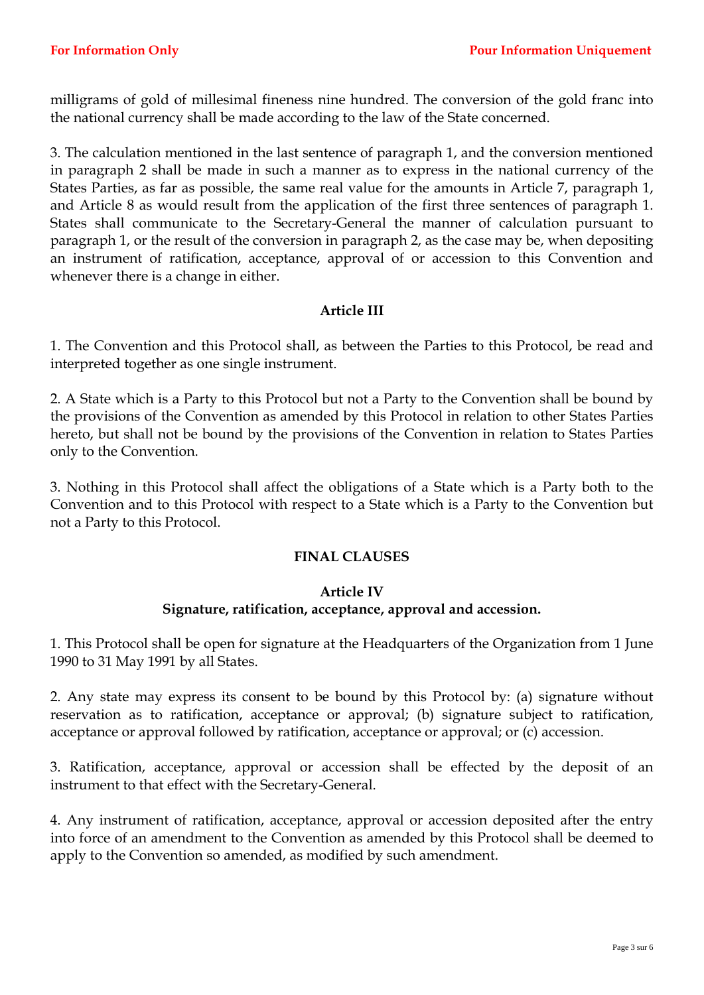milligrams of gold of millesimal fineness nine hundred. The conversion of the gold franc into the national currency shall be made according to the law of the State concerned.

3. The calculation mentioned in the last sentence of paragraph 1, and the conversion mentioned in paragraph 2 shall be made in such a manner as to express in the national currency of the States Parties, as far as possible, the same real value for the amounts in Article 7, paragraph 1, and Article 8 as would result from the application of the first three sentences of paragraph 1. States shall communicate to the Secretary-General the manner of calculation pursuant to paragraph 1, or the result of the conversion in paragraph 2, as the case may be, when depositing an instrument of ratification, acceptance, approval of or accession to this Convention and whenever there is a change in either.

## **Article III**

1. The Convention and this Protocol shall, as between the Parties to this Protocol, be read and interpreted together as one single instrument.

2. A State which is a Party to this Protocol but not a Party to the Convention shall be bound by the provisions of the Convention as amended by this Protocol in relation to other States Parties hereto, but shall not be bound by the provisions of the Convention in relation to States Parties only to the Convention.

3. Nothing in this Protocol shall affect the obligations of a State which is a Party both to the Convention and to this Protocol with respect to a State which is a Party to the Convention but not a Party to this Protocol.

## **FINAL CLAUSES**

#### **Article IV**

## **Signature, ratification, acceptance, approval and accession.**

1. This Protocol shall be open for signature at the Headquarters of the Organization from 1 June 1990 to 31 May 1991 by all States.

2. Any state may express its consent to be bound by this Protocol by: (a) signature without reservation as to ratification, acceptance or approval; (b) signature subject to ratification, acceptance or approval followed by ratification, acceptance or approval; or (c) accession.

3. Ratification, acceptance, approval or accession shall be effected by the deposit of an instrument to that effect with the Secretary-General.

4. Any instrument of ratification, acceptance, approval or accession deposited after the entry into force of an amendment to the Convention as amended by this Protocol shall be deemed to apply to the Convention so amended, as modified by such amendment.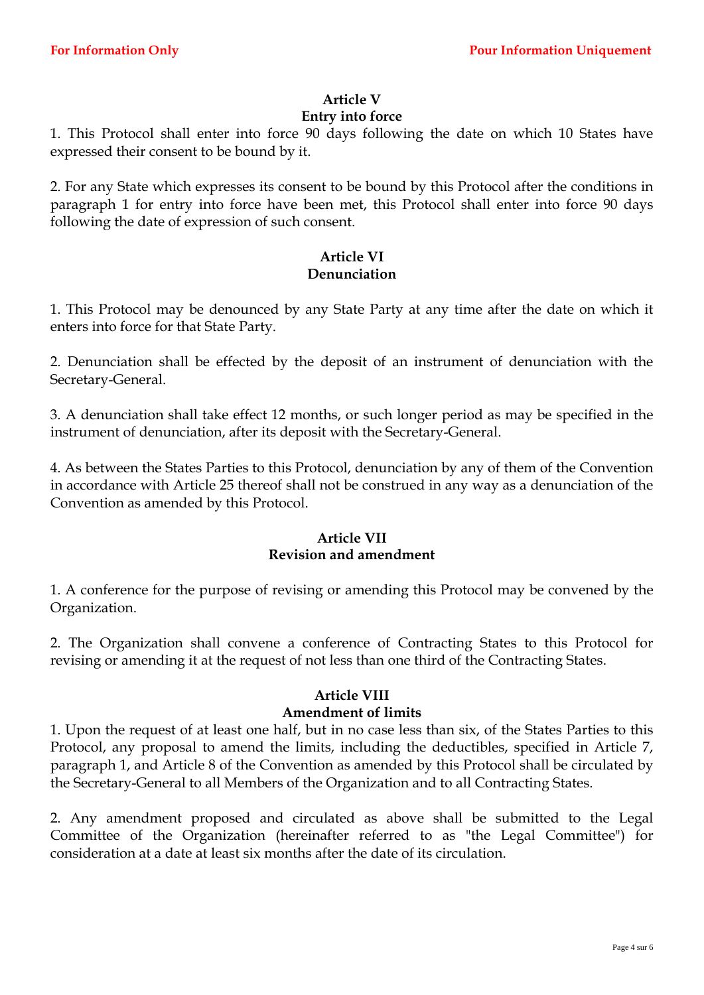# **Article V**

#### **Entry into force**

1. This Protocol shall enter into force 90 days following the date on which 10 States have expressed their consent to be bound by it.

2. For any State which expresses its consent to be bound by this Protocol after the conditions in paragraph 1 for entry into force have been met, this Protocol shall enter into force 90 days following the date of expression of such consent.

## **Article VI Denunciation**

1. This Protocol may be denounced by any State Party at any time after the date on which it enters into force for that State Party.

2. Denunciation shall be effected by the deposit of an instrument of denunciation with the Secretary-General.

3. A denunciation shall take effect 12 months, or such longer period as may be specified in the instrument of denunciation, after its deposit with the Secretary-General.

4. As between the States Parties to this Protocol, denunciation by any of them of the Convention in accordance with Article 25 thereof shall not be construed in any way as a denunciation of the Convention as amended by this Protocol.

### **Article VII Revision and amendment**

1. A conference for the purpose of revising or amending this Protocol may be convened by the Organization.

2. The Organization shall convene a conference of Contracting States to this Protocol for revising or amending it at the request of not less than one third of the Contracting States.

## **Article VIII**

#### **Amendment of limits**

1. Upon the request of at least one half, but in no case less than six, of the States Parties to this Protocol, any proposal to amend the limits, including the deductibles, specified in Article 7, paragraph 1, and Article 8 of the Convention as amended by this Protocol shall be circulated by the Secretary-General to all Members of the Organization and to all Contracting States.

2. Any amendment proposed and circulated as above shall be submitted to the Legal Committee of the Organization (hereinafter referred to as "the Legal Committee") for consideration at a date at least six months after the date of its circulation.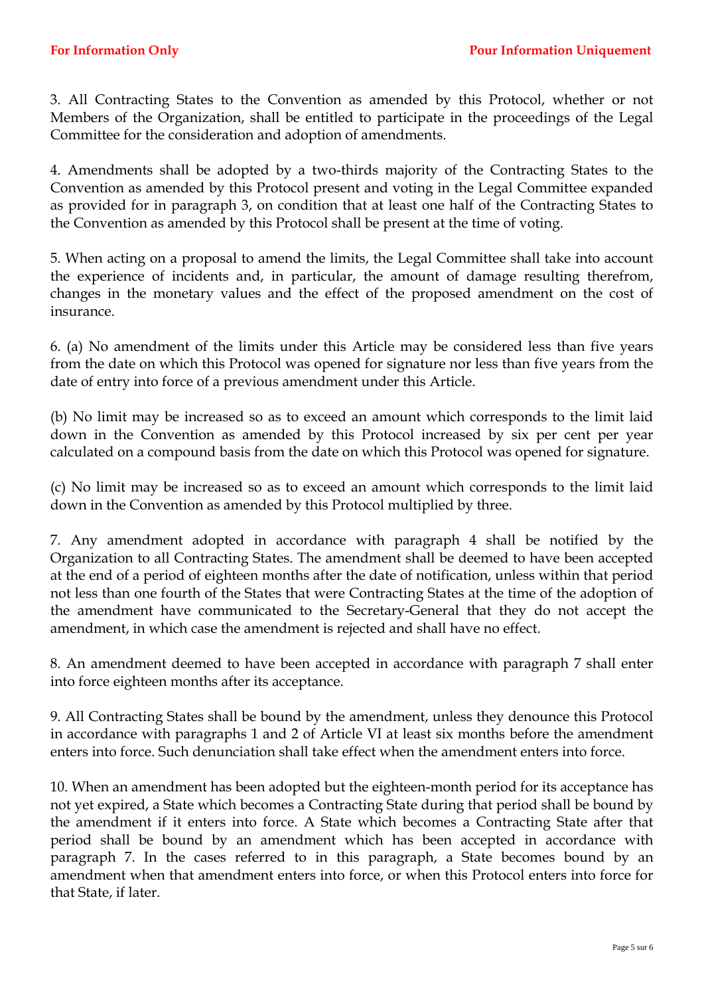3. All Contracting States to the Convention as amended by this Protocol, whether or not Members of the Organization, shall be entitled to participate in the proceedings of the Legal Committee for the consideration and adoption of amendments.

4. Amendments shall be adopted by a two-thirds majority of the Contracting States to the Convention as amended by this Protocol present and voting in the Legal Committee expanded as provided for in paragraph 3, on condition that at least one half of the Contracting States to the Convention as amended by this Protocol shall be present at the time of voting.

5. When acting on a proposal to amend the limits, the Legal Committee shall take into account the experience of incidents and, in particular, the amount of damage resulting therefrom, changes in the monetary values and the effect of the proposed amendment on the cost of insurance.

6. (a) No amendment of the limits under this Article may be considered less than five years from the date on which this Protocol was opened for signature nor less than five years from the date of entry into force of a previous amendment under this Article.

(b) No limit may be increased so as to exceed an amount which corresponds to the limit laid down in the Convention as amended by this Protocol increased by six per cent per year calculated on a compound basis from the date on which this Protocol was opened for signature.

(c) No limit may be increased so as to exceed an amount which corresponds to the limit laid down in the Convention as amended by this Protocol multiplied by three.

7. Any amendment adopted in accordance with paragraph 4 shall be notified by the Organization to all Contracting States. The amendment shall be deemed to have been accepted at the end of a period of eighteen months after the date of notification, unless within that period not less than one fourth of the States that were Contracting States at the time of the adoption of the amendment have communicated to the Secretary-General that they do not accept the amendment, in which case the amendment is rejected and shall have no effect.

8. An amendment deemed to have been accepted in accordance with paragraph 7 shall enter into force eighteen months after its acceptance.

9. All Contracting States shall be bound by the amendment, unless they denounce this Protocol in accordance with paragraphs 1 and 2 of Article VI at least six months before the amendment enters into force. Such denunciation shall take effect when the amendment enters into force.

10. When an amendment has been adopted but the eighteen-month period for its acceptance has not yet expired, a State which becomes a Contracting State during that period shall be bound by the amendment if it enters into force. A State which becomes a Contracting State after that period shall be bound by an amendment which has been accepted in accordance with paragraph 7. In the cases referred to in this paragraph, a State becomes bound by an amendment when that amendment enters into force, or when this Protocol enters into force for that State, if later.